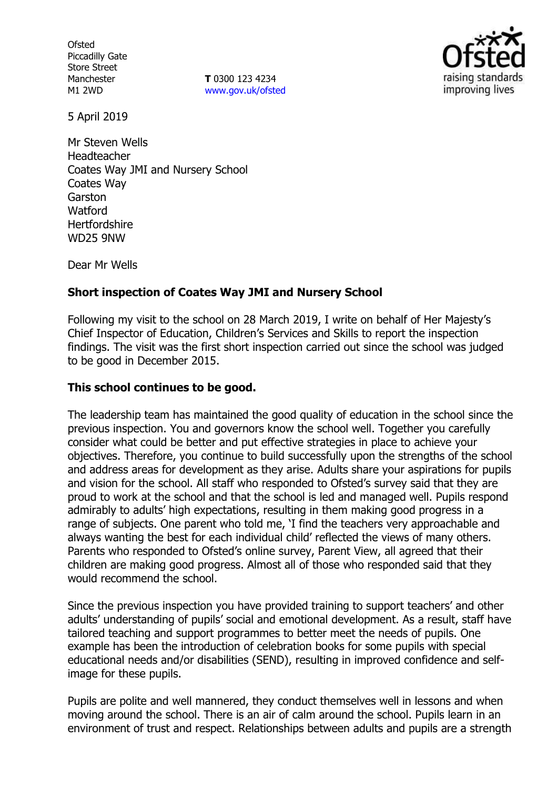**Ofsted** Piccadilly Gate Store Street Manchester M1 2WD

**T** 0300 123 4234 [www.gov.uk/ofsted](http://www.gov.uk/ofsted)



5 April 2019

Mr Steven Wells Headteacher Coates Way JMI and Nursery School Coates Way Garston **Watford Hertfordshire** WD25 9NW

Dear Mr Wells

#### **Short inspection of Coates Way JMI and Nursery School**

Following my visit to the school on 28 March 2019, I write on behalf of Her Majesty's Chief Inspector of Education, Children's Services and Skills to report the inspection findings. The visit was the first short inspection carried out since the school was judged to be good in December 2015.

### **This school continues to be good.**

The leadership team has maintained the good quality of education in the school since the previous inspection. You and governors know the school well. Together you carefully consider what could be better and put effective strategies in place to achieve your objectives. Therefore, you continue to build successfully upon the strengths of the school and address areas for development as they arise. Adults share your aspirations for pupils and vision for the school. All staff who responded to Ofsted's survey said that they are proud to work at the school and that the school is led and managed well. Pupils respond admirably to adults' high expectations, resulting in them making good progress in a range of subjects. One parent who told me, 'I find the teachers very approachable and always wanting the best for each individual child' reflected the views of many others. Parents who responded to Ofsted's online survey, Parent View, all agreed that their children are making good progress. Almost all of those who responded said that they would recommend the school.

Since the previous inspection you have provided training to support teachers' and other adults' understanding of pupils' social and emotional development. As a result, staff have tailored teaching and support programmes to better meet the needs of pupils. One example has been the introduction of celebration books for some pupils with special educational needs and/or disabilities (SEND), resulting in improved confidence and selfimage for these pupils.

Pupils are polite and well mannered, they conduct themselves well in lessons and when moving around the school. There is an air of calm around the school. Pupils learn in an environment of trust and respect. Relationships between adults and pupils are a strength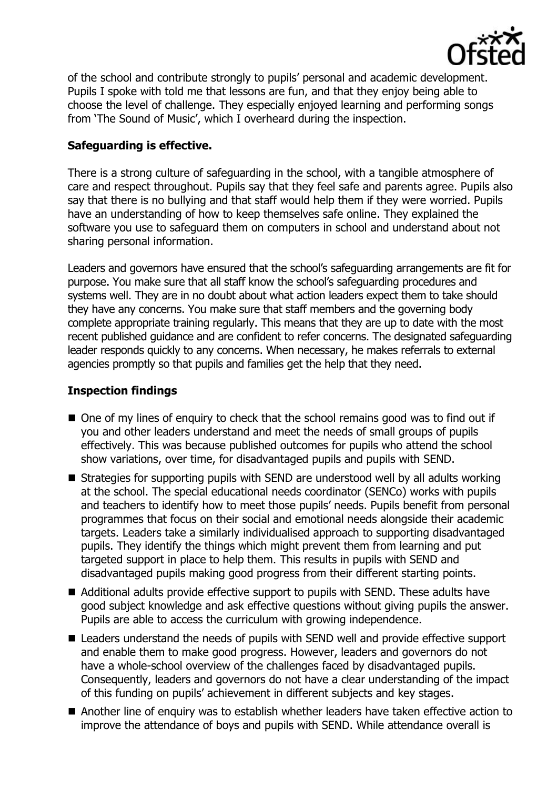

of the school and contribute strongly to pupils' personal and academic development. Pupils I spoke with told me that lessons are fun, and that they enjoy being able to choose the level of challenge. They especially enjoyed learning and performing songs from 'The Sound of Music', which I overheard during the inspection.

# **Safeguarding is effective.**

There is a strong culture of safeguarding in the school, with a tangible atmosphere of care and respect throughout. Pupils say that they feel safe and parents agree. Pupils also say that there is no bullying and that staff would help them if they were worried. Pupils have an understanding of how to keep themselves safe online. They explained the software you use to safeguard them on computers in school and understand about not sharing personal information.

Leaders and governors have ensured that the school's safeguarding arrangements are fit for purpose. You make sure that all staff know the school's safeguarding procedures and systems well. They are in no doubt about what action leaders expect them to take should they have any concerns. You make sure that staff members and the governing body complete appropriate training regularly. This means that they are up to date with the most recent published guidance and are confident to refer concerns. The designated safeguarding leader responds quickly to any concerns. When necessary, he makes referrals to external agencies promptly so that pupils and families get the help that they need.

# **Inspection findings**

- One of my lines of enguiry to check that the school remains good was to find out if you and other leaders understand and meet the needs of small groups of pupils effectively. This was because published outcomes for pupils who attend the school show variations, over time, for disadvantaged pupils and pupils with SEND.
- Strategies for supporting pupils with SEND are understood well by all adults working at the school. The special educational needs coordinator (SENCo) works with pupils and teachers to identify how to meet those pupils' needs. Pupils benefit from personal programmes that focus on their social and emotional needs alongside their academic targets. Leaders take a similarly individualised approach to supporting disadvantaged pupils. They identify the things which might prevent them from learning and put targeted support in place to help them. This results in pupils with SEND and disadvantaged pupils making good progress from their different starting points.
- Additional adults provide effective support to pupils with SEND. These adults have good subject knowledge and ask effective questions without giving pupils the answer. Pupils are able to access the curriculum with growing independence.
- Leaders understand the needs of pupils with SEND well and provide effective support and enable them to make good progress. However, leaders and governors do not have a whole-school overview of the challenges faced by disadvantaged pupils. Consequently, leaders and governors do not have a clear understanding of the impact of this funding on pupils' achievement in different subjects and key stages.
- Another line of enquiry was to establish whether leaders have taken effective action to improve the attendance of boys and pupils with SEND. While attendance overall is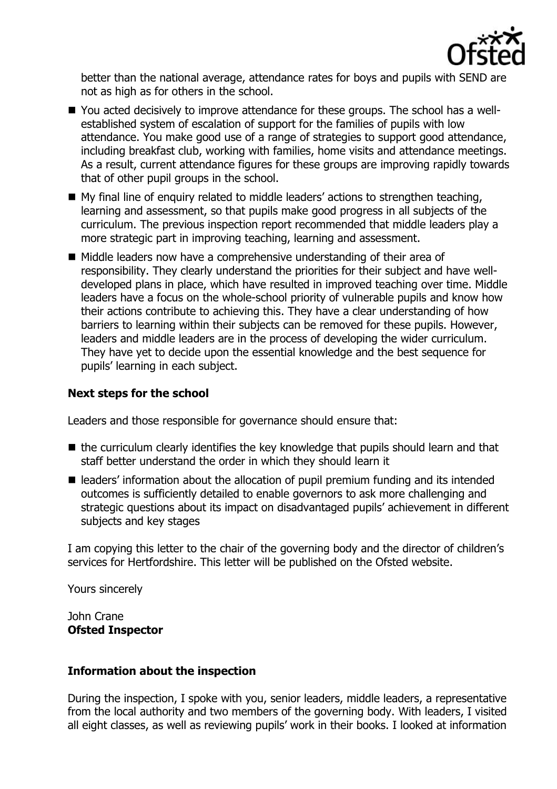

better than the national average, attendance rates for boys and pupils with SEND are not as high as for others in the school.

- You acted decisively to improve attendance for these groups. The school has a wellestablished system of escalation of support for the families of pupils with low attendance. You make good use of a range of strategies to support good attendance, including breakfast club, working with families, home visits and attendance meetings. As a result, current attendance figures for these groups are improving rapidly towards that of other pupil groups in the school.
- My final line of enquiry related to middle leaders' actions to strengthen teaching, learning and assessment, so that pupils make good progress in all subjects of the curriculum. The previous inspection report recommended that middle leaders play a more strategic part in improving teaching, learning and assessment.
- Middle leaders now have a comprehensive understanding of their area of responsibility. They clearly understand the priorities for their subject and have welldeveloped plans in place, which have resulted in improved teaching over time. Middle leaders have a focus on the whole-school priority of vulnerable pupils and know how their actions contribute to achieving this. They have a clear understanding of how barriers to learning within their subjects can be removed for these pupils. However, leaders and middle leaders are in the process of developing the wider curriculum. They have yet to decide upon the essential knowledge and the best sequence for pupils' learning in each subject.

### **Next steps for the school**

Leaders and those responsible for governance should ensure that:

- the curriculum clearly identifies the key knowledge that pupils should learn and that staff better understand the order in which they should learn it
- leaders' information about the allocation of pupil premium funding and its intended outcomes is sufficiently detailed to enable governors to ask more challenging and strategic questions about its impact on disadvantaged pupils' achievement in different subjects and key stages

I am copying this letter to the chair of the governing body and the director of children's services for Hertfordshire. This letter will be published on the Ofsted website.

Yours sincerely

John Crane **Ofsted Inspector**

#### **Information about the inspection**

During the inspection, I spoke with you, senior leaders, middle leaders, a representative from the local authority and two members of the governing body. With leaders, I visited all eight classes, as well as reviewing pupils' work in their books. I looked at information